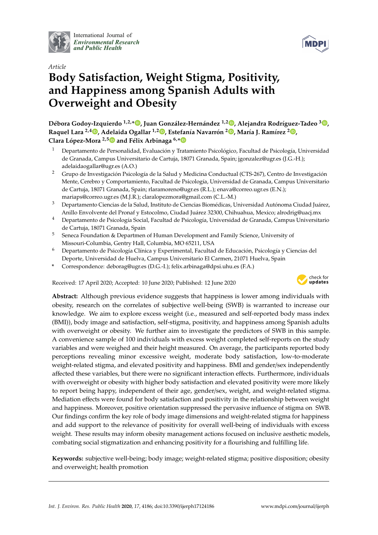

International Journal of *[Environmental Research](http://www.mdpi.com/journal/ijerph) and Public Health*



# *Article* **Body Satisfaction, Weight Stigma, Positivity, and Happiness among Spanish Adults with Overweight and Obesity**

**Débora Godoy-Izquierdo 1,2,[\\*](https://orcid.org/0000-0002-4294-4232) , Juan González-Hernández 1,2 [,](https://orcid.org/0000-0002-6640-0352) Alejandra Rodríguez-Tadeo <sup>3</sup> [,](https://orcid.org/0000-0001-5826-6627) Raquel Lara 2,4 [,](https://orcid.org/0000-0001-5559-0915) Adelaida Ogallar 1,2 [,](https://orcid.org/0000-0001-6186-3035) Estefanía Navarrón [2](https://orcid.org/0000-0002-8668-2668) , María J. Ramírez <sup>2</sup> [,](https://orcid.org/0000-0002-3605-0144) Clara López-Mora 2,[5](https://orcid.org/0000-0003-1925-9939) and Félix Arbinaga 6,[\\*](https://orcid.org/0000-0001-6649-1904)**

- <sup>1</sup> Departamento de Personalidad, Evaluación y Tratamiento Psicológico, Facultad de Psicología, Universidad de Granada, Campus Universitario de Cartuja, 18071 Granada, Spain; jgonzalez@ugr.es (J.G.-H.); adelaidaogallar@ugr.es (A.O.)
- <sup>2</sup> Grupo de Investigación Psicología de la Salud y Medicina Conductual (CTS-267), Centro de Investigación Mente, Cerebro y Comportamiento, Facultad de Psicología, Universidad de Granada, Campus Universitario de Cartuja, 18071 Granada, Spain; rlaramoreno@ugr.es (R.L.); enava@correo.ugr.es (E.N.); mariaps@correo.ugr.es (M.J.R.); claralopezmora@gmail.com (C.L.-M.)
- <sup>3</sup> Departamento Ciencias de la Salud, Instituto de Ciencias Biomédicas, Universidad Autónoma Ciudad Juárez, Anillo Envolvente del Pronaf y Estocolmo, Ciudad Juárez 32300, Chihuahua, Mexico; alrodrig@uacj.mx
- <sup>4</sup> Departamento de Psicología Social, Facultad de Psicología, Universidad de Granada, Campus Universitario de Cartuja, 18071 Granada, Spain
- <sup>5</sup> Seneca Foundation & Departmen of Human Development and Family Science, University of Missouri-Columbia, Gentry Hall, Columbia, MO 65211, USA
- <sup>6</sup> Departamento de Psicología Clínica y Experimental, Facultad de Educación, Psicología y Ciencias del Deporte, Universidad de Huelva, Campus Universitario El Carmen, 21071 Huelva, Spain
- **\*** Correspondence: deborag@ugr.es (D.G.-I.); felix.arbinaga@dpsi.uhu.es (F.A.)

Received: 17 April 2020; Accepted: 10 June 2020; Published: 12 June 2020



**Abstract:** Although previous evidence suggests that happiness is lower among individuals with obesity, research on the correlates of subjective well-being (SWB) is warranted to increase our knowledge. We aim to explore excess weight (i.e., measured and self-reported body mass index (BMI)), body image and satisfaction, self-stigma, positivity, and happiness among Spanish adults with overweight or obesity. We further aim to investigate the predictors of SWB in this sample. A convenience sample of 100 individuals with excess weight completed self-reports on the study variables and were weighed and their height measured. On average, the participants reported body perceptions revealing minor excessive weight, moderate body satisfaction, low-to-moderate weight-related stigma, and elevated positivity and happiness. BMI and gender/sex independently affected these variables, but there were no significant interaction effects. Furthermore, individuals with overweight or obesity with higher body satisfaction and elevated positivity were more likely to report being happy, independent of their age, gender/sex, weight, and weight-related stigma. Mediation effects were found for body satisfaction and positivity in the relationship between weight and happiness. Moreover, positive orientation suppressed the pervasive influence of stigma on SWB. Our findings confirm the key role of body image dimensions and weight-related stigma for happiness and add support to the relevance of positivity for overall well-being of individuals with excess weight. These results may inform obesity management actions focused on inclusive aesthetic models, combating social stigmatization and enhancing positivity for a flourishing and fulfilling life.

**Keywords:** subjective well-being; body image; weight-related stigma; positive disposition; obesity and overweight; health promotion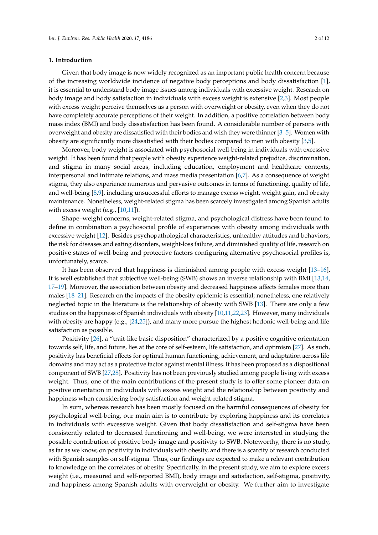## **1. Introduction**

Given that body image is now widely recognized as an important public health concern because of the increasing worldwide incidence of negative body perceptions and body dissatisfaction [\[1\]](#page-9-0), it is essential to understand body image issues among individuals with excessive weight. Research on body image and body satisfaction in individuals with excess weight is extensive [\[2,](#page-9-1)[3\]](#page-9-2). Most people with excess weight perceive themselves as a person with overweight or obesity, even when they do not have completely accurate perceptions of their weight. In addition, a positive correlation between body mass index (BMI) and body dissatisfaction has been found. A considerable number of persons with overweight and obesity are dissatisfied with their bodies and wish they were thinner [\[3](#page-9-2)[–5\]](#page-9-3). Women with obesity are significantly more dissatisfied with their bodies compared to men with obesity [\[3,](#page-9-2)[5\]](#page-9-3).

Moreover, body weight is associated with psychosocial well-being in individuals with excessive weight. It has been found that people with obesity experience weight-related prejudice, discrimination, and stigma in many social areas, including education, employment and healthcare contexts, interpersonal and intimate relations, and mass media presentation [\[6,](#page-9-4)[7\]](#page-9-5). As a consequence of weight stigma, they also experience numerous and pervasive outcomes in terms of functioning, quality of life, and well-being [\[8](#page-9-6)[,9\]](#page-9-7), including unsuccessful efforts to manage excess weight, weight gain, and obesity maintenance. Nonetheless, weight-related stigma has been scarcely investigated among Spanish adults with excess weight (e.g.,  $[10,11]$  $[10,11]$ ).

Shape–weight concerns, weight-related stigma, and psychological distress have been found to define in combination a psychosocial profile of experiences with obesity among individuals with excessive weight [\[12\]](#page-9-10). Besides psychopathological characteristics, unhealthy attitudes and behaviors, the risk for diseases and eating disorders, weight-loss failure, and diminished quality of life, research on positive states of well-being and protective factors configuring alternative psychosocial profiles is, unfortunately, scarce.

It has been observed that happiness is diminished among people with excess weight [\[13–](#page-9-11)[16\]](#page-10-0). It is well established that subjective well-being (SWB) shows an inverse relationship with BMI [\[13,](#page-9-11)[14,](#page-9-12) [17–](#page-10-1)[19\]](#page-10-2). Moreover, the association between obesity and decreased happiness affects females more than males [\[18–](#page-10-3)[21\]](#page-10-4). Research on the impacts of the obesity epidemic is essential; nonetheless, one relatively neglected topic in the literature is the relationship of obesity with SWB [\[13\]](#page-9-11). There are only a few studies on the happiness of Spanish individuals with obesity [\[10](#page-9-8)[,11](#page-9-9)[,22,](#page-10-5)[23\]](#page-10-6). However, many individuals with obesity are happy (e.g., [\[24](#page-10-7)[,25\]](#page-10-8)), and many more pursue the highest hedonic well-being and life satisfaction as possible.

Positivity [\[26\]](#page-10-9), a "trait-like basic disposition" characterized by a positive cognitive orientation towards self, life, and future, lies at the core of self-esteem, life satisfaction, and optimism [\[27\]](#page-10-10). As such, positivity has beneficial effects for optimal human functioning, achievement, and adaptation across life domains and may act as a protective factor against mental illness. It has been proposed as a dispositional component of SWB [\[27,](#page-10-10)[28\]](#page-10-11). Positivity has not been previously studied among people living with excess weight. Thus, one of the main contributions of the present study is to offer some pioneer data on positive orientation in individuals with excess weight and the relationship between positivity and happiness when considering body satisfaction and weight-related stigma.

In sum, whereas research has been mostly focused on the harmful consequences of obesity for psychological well-being, our main aim is to contribute by exploring happiness and its correlates in individuals with excessive weight. Given that body dissatisfaction and self-stigma have been consistently related to decreased functioning and well-being, we were interested in studying the possible contribution of positive body image and positivity to SWB. Noteworthy, there is no study, as far as we know, on positivity in individuals with obesity, and there is a scarcity of research conducted with Spanish samples on self-stigma. Thus, our findings are expected to make a relevant contribution to knowledge on the correlates of obesity. Specifically, in the present study, we aim to explore excess weight (i.e., measured and self-reported BMI), body image and satisfaction, self-stigma, positivity, and happiness among Spanish adults with overweight or obesity. We further aim to investigate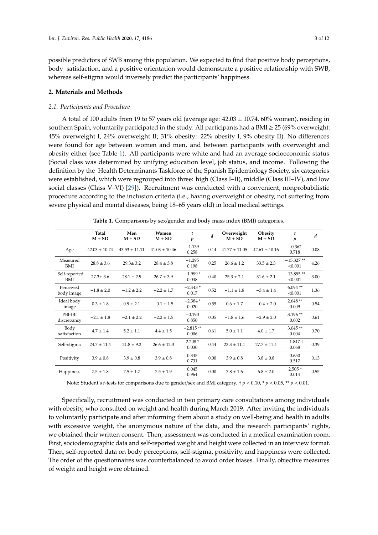possible predictors of SWB among this population. We expected to find that positive body perceptions, body satisfaction, and a positive orientation would demonstrate a positive relationship with SWB, whereas self-stigma would inversely predict the participants' happiness.

### **2. Materials and Methods**

## *2.1. Participants and Procedure*

A total of 100 adults from 19 to 57 years old (average age:  $42.03 \pm 10.74$ , 60% women), residing in southern Spain, voluntarily participated in the study. All participants had a BMI  $\geq$  25 (69% overweight: 45% overweight I, 24% overweight II; 31% obesity: 22% obesity I, 9% obesity II). No differences were found for age between women and men, and between participants with overweight and obesity either (see Table [1\)](#page-2-0). All participants were white and had an average socioeconomic status (Social class was determined by unifying education level, job status, and income. Following the definition by the Health Determinants Taskforce of the Spanish Epidemiology Society, six categories were established, which were regrouped into three: high (Class I–II), middle (Class III–IV), and low social classes (Class V–VI) [\[29\]](#page-10-12)). Recruitment was conducted with a convenient, nonprobabilistic procedure according to the inclusion criteria (i.e., having overweight or obesity, not suffering from severe physical and mental diseases, being 18–65 years old) in local medical settings.

<span id="page-2-0"></span>

|                         | Total<br>$M \pm SD$ | Men<br>$M \pm SD$ | Women<br>$M + SD$ | t<br>p              | $\boldsymbol{d}$ | Overweight<br>$M + SD$ | Obesity<br>$M + SD$ | t<br>p                 | $\boldsymbol{d}$ |
|-------------------------|---------------------|-------------------|-------------------|---------------------|------------------|------------------------|---------------------|------------------------|------------------|
| Age                     | $42.03 \pm 10.74$   | $43.53 \pm 11.11$ | $41.03 \pm 10.46$ | $-1.139$<br>0.258   | 0.14             | $41.77 + 11.05$        | $42.61 + 10.16$     | $-0.362$<br>0.718      | 0.08             |
| Measured<br><b>BMI</b>  | $28.8 \pm 3.6$      | $29.3 \pm 3.2$    | $28.4 \pm 3.8$    | $-1.295$<br>0.198   | 0.25             | $26.6 \pm 1.2$         | $33.5 \pm 2.3$      | $-15.327**$<br>< 0.001 | 4.26             |
| Self-reported<br>BMI    | $27.3 \pm 3.6$      | $28.1 \pm 2.9$    | $26.7 \pm 3.9$    | $-1.999*$<br>0.048  | 0.40             | $25.3 \pm 2.1$         | $31.6 \pm 2.1$      | $-13.895**$<br>< 0.001 | 3.00             |
| Perceived<br>body image | $-1.8 \pm 2.0$      | $-1.2 \pm 2.2$    | $-2.2 \pm 1.7$    | $-2.443*$<br>0.017  | 0.52             | $-1.1 \pm 1.8$         | $-3.4 \pm 1.4$      | $6.094**$<br>< 0.001   | 1.36             |
| Ideal body<br>image     | $0.3 \pm 1.8$       | $0.9 \pm 2.1$     | $-0.1 \pm 1.5$    | $-2.384*$<br>0.020  | 0.55             | $0.6 \pm 1.7$          | $-0.4 \pm 2.0$      | $2.648**$<br>0.009     | 0.54             |
| PBI-IBI<br>discrepancy  | $-2.1 \pm 1.8$      | $-2.1 + 2.2$      | $-2.2 \pm 1.5$    | $-0.190$<br>0.850   | 0.05             | $-1.8 \pm 1.6$         | $-2.9 + 2.0$        | 3.196**<br>0.002       | 0.61             |
| Body<br>satisfaction    | $4.7 \pm 1.4$       | $5.2 \pm 1.1$     | $4.4 + 1.5$       | $-2.815**$<br>0.006 | 0.61             | $5.0 \pm 1.1$          | $4.0 \pm 1.7$       | $3.045**$<br>0.004     | 0.70             |
| Self-stigma             | $24.7 \pm 11.4$     | $21.8 \pm 9.2$    | $26.6 \pm 12.3$   | $2.208*$<br>0.030   | 0.44             | $23.3 \pm 11.1$        | $27.7 + 11.4$       | $-1.847 +$<br>0.068    | 0.39             |
| Positivity              | $3.9 \pm 0.8$       | $3.9 \pm 0.8$     | $3.9 \pm 0.8$     | 0.345<br>0.731      | 0.00             | $3.9 \pm 0.8$          | $3.8 \pm 0.8$       | 0.650<br>0.517         | 0.13             |
| Happiness               | $7.5 \pm 1.8$       | $7.5 + 1.7$       | $7.5 \pm 1.9$     | 0.045<br>0.964      | 0.00             | $7.8 \pm 1.6$          | $6.8 \pm 2.0$       | $2.505*$<br>0.014      | 0.55             |

**Table 1.** Comparisons by sex/gender and body mass index (BMI) categories.

Note: Student's *t*-tests for comparisons due to gender/sex and BMI category. † *p* < 0.10, \* *p* < 0.05, \*\* *p* < 0.01.

Specifically, recruitment was conducted in two primary care consultations among individuals with obesity, who consulted on weight and health during March 2019. After inviting the individuals to voluntarily participate and after informing them about a study on well-being and health in adults with excessive weight, the anonymous nature of the data, and the research participants' rights, we obtained their written consent. Then, assessment was conducted in a medical examination room. First, sociodemographic data and self-reported weight and height were collected in an interview format. Then, self-reported data on body perceptions, self-stigma, positivity, and happiness were collected. The order of the questionnaires was counterbalanced to avoid order biases. Finally, objective measures of weight and height were obtained.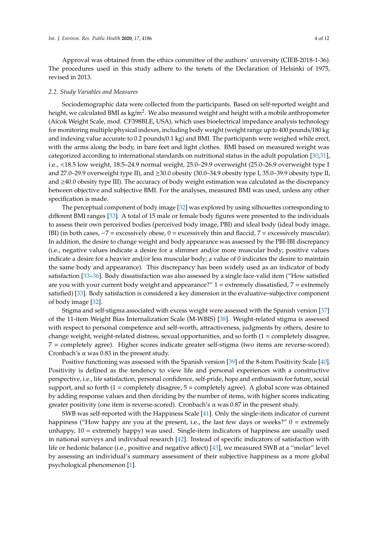Approval was obtained from the ethics committee of the authors' university (CIEB-2018-1-36). The procedures used in this study adhere to the tenets of the Declaration of Helsinki of 1975, revised in 2013.

#### *2.2. Study Variables and Measures*

Sociodemographic data were collected from the participants. Based on self-reported weight and height, we calculated BMI as kg/m<sup>2</sup>. We also measured weight and height with a mobile anthropometer (Aicok Weight Scale, mod. CF398BLE, USA), which uses bioelectrical impedance analysis technology for monitoring multiple physical indexes, including body weight (weight range up to 400 pounds/180 kg and indexing value accurate to 0.2 pounds/0.1 kg) and BMI. The participants were weighed while erect, with the arms along the body, in bare feet and light clothes. BMI based on measured weight was categorized according to international standards on nutritional status in the adult population [\[30,](#page-10-13)[31\]](#page-10-14), i.e., <18.5 low weight, 18.5–24.9 normal weight, 25.0–29.9 overweight (25.0–26.9 overweight type I and 27.0–29.9 overweight type II), and ≥30.0 obesity (30.0–34.9 obesity type I, 35.0–39.9 obesity type II, and ≥40.0 obesity type III). The accuracy of body weight estimation was calculated as the discrepancy between objective and subjective BMI. For the analyses, measured BMI was used, unless any other specification is made.

The perceptual component of body image [\[32\]](#page-10-15) was explored by using silhouettes corresponding to different BMI ranges [\[33\]](#page-10-16). A total of 15 male or female body figures were presented to the individuals to assess their own perceived bodies (perceived body image, PBI) and ideal body (ideal body image, IBI) (in both cases,  $-7$  = excessively obese, 0 = excessively thin and flaccid, 7 = excessively muscular). In addition, the desire to change weight and body appearance was assessed by the PBI-IBI discrepancy (i.e., negative values indicate a desire for a slimmer and/or more muscular body; positive values indicate a desire for a heavier and/or less muscular body; a value of 0 indicates the desire to maintain the same body and appearance). This discrepancy has been widely used as an indicator of body satisfaction [\[33](#page-10-16)[–36\]](#page-10-17). Body dissatisfaction was also assessed by a single face-valid item ("How satisfied are you with your current body weight and appearance?"  $1 =$  extremely dissatisfied,  $7 =$  extremely satisfied) [\[33\]](#page-10-16). Body satisfaction is considered a key dimension in the evaluative–subjective component of body image [\[32\]](#page-10-15).

Stigma and self-stigma associated with excess weight were assessed with the Spanish version [\[37\]](#page-10-18) of the 11-item Weight Bias Internalization Scale (M-WBIS) [\[38\]](#page-10-19). Weight-related stigma is assessed with respect to personal competence and self-worth, attractiveness, judgments by others, desire to change weight, weight-related distress, sexual opportunities, and so forth (1 = completely disagree, 7 = completely agree). Higher scores indicate greater self-stigma (two items are reverse-scored). Cronbach's  $\alpha$  was 0.83 in the present study.

Positive functioning was assessed with the Spanish version [\[39\]](#page-11-0) of the 8-item Positivity Scale [\[40\]](#page-11-1). Positivity is defined as the tendency to view life and personal experiences with a constructive perspective, i.e., life satisfaction, personal confidence, self-pride, hope and enthusiasm for future, social support, and so forth  $(1 = \text{completely disagree}, 5 = \text{completely agree})$ . A global score was obtained by adding response values and then dividing by the number of items, with higher scores indicating greater positivity (one item is reverse-scored). Cronbach's α was 0.87 in the present study.

SWB was self-reported with the Happiness Scale [\[41\]](#page-11-2). Only the single-item indicator of current happiness ("How happy are you at the present, i.e., the last few days or weeks?"  $0 =$  extremely unhappy, 10 = extremely happy) was used. Single-item indicators of happiness are usually used in national surveys and individual research [\[42\]](#page-11-3). Instead of specific indicators of satisfaction with life or hedonic balance (i.e., positive and negative affect) [\[43\]](#page-11-4), we measured SWB at a "molar" level by assessing an individual's summary assessment of their subjective happiness as a more global psychological phenomenon [\[1\]](#page-9-0).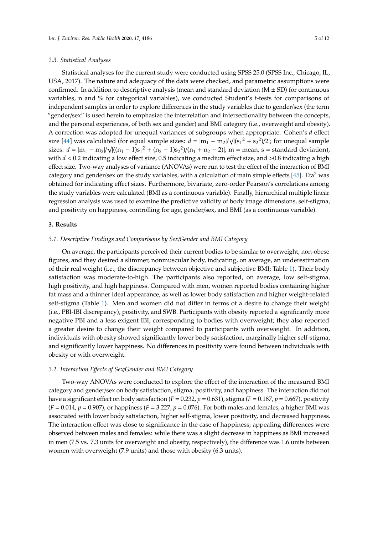## *2.3. Statistical Analyses*

Statistical analyses for the current study were conducted using SPSS 25.0 (SPSS Inc., Chicago, IL, USA, 2017). The nature and adequacy of the data were checked, and parametric assumptions were confirmed. In addition to descriptive analysis (mean and standard deviation  $(M \pm SD)$  for continuous variables, n and % for categorical variables), we conducted Student's *t*-tests for comparisons of independent samples in order to explore differences in the study variables due to gender/sex (the term "gender/sex" is used herein to emphasize the interrelation and intersectionality between the concepts, and the personal experiences, of both sex and gender) and BMI category (i.e., overweight and obesity). A correction was adopted for unequal variances of subgroups when appropriate. Cohen's *d* effect A correction was adopted for unequal variances of subgroups when appropriate. Conen s *a* effect size [\[44\]](#page-11-5) was calculated (for equal sample sizes:  $d = |m_1 - m_2| / \sqrt{|(s_1^2 + s_2^2)/2|}$ ; for unequal sample size  $[44]$  was calculated (for equal sample sizes:  $u = |m_1 - m_2| / \sqrt{|(s_1 - s_2 -)/2|}$ ; for unequal sample sizes:  $d = |m_1 - m_2| / \sqrt{|((n_1 - 1)s_1^2 + (n_2 - 1)s_2^2) / (n_1 + n_2 - 2)|}$ ; m = mean, s = standard deviation), with  $d < 0.2$  indicating a low effect size, 0.5 indicating a medium effect size, and >0.8 indicating a high effect size. Two-way analyses of variance (ANOVAs) were run to test the effect of the interaction of BMI category and gender/sex on the study variables, with a calculation of main simple effects  $[45]$ . Eta<sup>2</sup> was obtained for indicating effect sizes. Furthermore, bivariate, zero-order Pearson's correlations among the study variables were calculated (BMI as a continuous variable). Finally, hierarchical multiple linear regression analysis was used to examine the predictive validity of body image dimensions, self-stigma, and positivity on happiness, controlling for age, gender/sex, and BMI (as a continuous variable).

## **3. Results**

## *3.1. Descriptive Findings and Comparisons by Sex*/*Gender and BMI Category*

On average, the participants perceived their current bodies to be similar to overweight, non-obese figures, and they desired a slimmer, nonmuscular body, indicating, on average, an underestimation of their real weight (i.e., the discrepancy between objective and subjective BMI; Table [1\)](#page-2-0). Their body satisfaction was moderate-to-high. The participants also reported, on average, low self-stigma, high positivity, and high happiness. Compared with men, women reported bodies containing higher fat mass and a thinner ideal appearance, as well as lower body satisfaction and higher weight-related self-stigma (Table [1\)](#page-2-0). Men and women did not differ in terms of a desire to change their weight (i.e., PBI-IBI discrepancy), positivity, and SWB. Participants with obesity reported a significantly more negative PBI and a less exigent IBI, corresponding to bodies with overweight; they also reported a greater desire to change their weight compared to participants with overweight. In addition, individuals with obesity showed significantly lower body satisfaction, marginally higher self-stigma, and significantly lower happiness. No differences in positivity were found between individuals with obesity or with overweight.

#### *3.2. Interaction E*ff*ects of Sex*/*Gender and BMI Category*

Two-way ANOVAs were conducted to explore the effect of the interaction of the measured BMI category and gender/sex on body satisfaction, stigma, positivity, and happiness. The interaction did not have a significant effect on body satisfaction ( $F = 0.232$ ,  $p = 0.631$ ), stigma ( $F = 0.187$ ,  $p = 0.667$ ), positivity  $(F = 0.014, p = 0.907)$ , or happiness  $(F = 3.227, p = 0.076)$ . For both males and females, a higher BMI was associated with lower body satisfaction, higher self-stigma, lower positivity, and decreased happiness. The interaction effect was close to significance in the case of happiness; appealing differences were observed between males and females: while there was a slight decrease in happiness as BMI increased in men (7.5 vs. 7.3 units for overweight and obesity, respectively), the difference was 1.6 units between women with overweight (7.9 units) and those with obesity (6.3 units).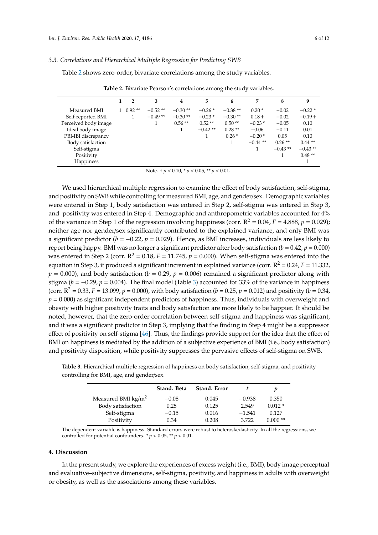#### *3.3. Correlations and Hierarchical Multiple Regression for Predicting SWB*

<span id="page-5-0"></span>Table [2](#page-5-0) shows zero-order, bivariate correlations among the study variables.

|                      | $\overline{2}$   | 3         | 4         | 5         | 6         | 7          | 8         | 9         |
|----------------------|------------------|-----------|-----------|-----------|-----------|------------|-----------|-----------|
| Measured BMI         | $1 \quad 0.92**$ | $-0.52**$ | $-0.30**$ | $-0.26*$  | $-0.38**$ | $0.20*$    | $-0.02$   | $-0.22*$  |
| Self-reported BMI    |                  | $-0.49**$ | $-0.30**$ | $-0.23*$  | $-0.30**$ | $0.18 +$   | $-0.02$   | $-0.19 +$ |
| Perceived body image |                  |           | $0.56**$  | $0.52**$  | $0.50**$  | $-0.23*$   | $-0.05$   | 0.10      |
| Ideal body image     |                  |           |           | $-0.42**$ | $0.28**$  | $-0.06$    | $-0.11$   | 0.01      |
| PBI-IBI discrepancy  |                  |           |           | 1         | $0.26*$   | $-0.20*$   | 0.05      | 0.10      |
| Body satisfaction    |                  |           |           |           |           | $-0.44$ ** | $0.26**$  | $0.44**$  |
| Self-stigma          |                  |           |           |           |           |            | $-0.43**$ | $-0.43**$ |
| Positivity           |                  |           |           |           |           |            |           | $0.48**$  |
| Happiness            |                  |           |           |           |           |            |           |           |

**Table 2.** Bivariate Pearson's correlations among the study variables.

Note. † *p* < 0.10, \* *p* < 0.05, \*\* *p* < 0.01.

We used hierarchical multiple regression to examine the effect of body satisfaction, self-stigma, and positivity on SWB while controlling for measured BMI, age, and gender/sex. Demographic variables were entered in Step 1, body satisfaction was entered in Step 2, self-stigma was entered in Step 3, and positivity was entered in Step 4. Demographic and anthropometric variables accounted for 4% of the variance in Step 1 of the regression involving happiness (corr.  $R^2 = 0.04$ ,  $F = 4.888$ ,  $p = 0.029$ ); neither age nor gender/sex significantly contributed to the explained variance, and only BMI was a significant predictor (*b* = −0.22, *p* = 0.029). Hence, as BMI increases, individuals are less likely to report being happy. BMI was no longer a significant predictor after body satisfaction  $(b = 0.42, p = 0.000)$ was entered in Step 2 (corr.  $R^2 = 0.18$ ,  $F = 11.745$ ,  $p = 0.000$ ). When self-stigma was entered into the equation in Step 3, it produced a significant increment in explained variance (corr.  $R^2 = 0.24$ ,  $F = 11.332$ ,  $p = 0.000$ ), and body satisfaction ( $b = 0.29$ ,  $p = 0.006$ ) remained a significant predictor along with stigma ( $b = -0.29$ ,  $p = 0.004$ ). The final model (Table [3\)](#page-5-1) accounted for 33% of the variance in happiness (corr.  $R^2 = 0.33$ ,  $F = 13.099$ ,  $p = 0.000$ ), with body satisfaction ( $b = 0.25$ ,  $p = 0.012$ ) and positivity ( $b = 0.34$ ,  $p = 0.000$ ) as significant independent predictors of happiness. Thus, individuals with overweight and obesity with higher positivity traits and body satisfaction are more likely to be happier. It should be noted, however, that the zero-order correlation between self-stigma and happiness was significant, and it was a significant predictor in Step 3, implying that the finding in Step 4 might be a suppressor effect of positivity on self-stigma [\[46\]](#page-11-7). Thus, the findings provide support for the idea that the effect of BMI on happiness is mediated by the addition of a subjective experience of BMI (i.e., body satisfaction) and positivity disposition, while positivity suppresses the pervasive effects of self-stigma on SWB.

|                              | Stand. Beta | Stand. Error |          |           |
|------------------------------|-------------|--------------|----------|-----------|
| Measured BMI $\text{kg/m}^2$ | $-0.08$     | 0.045        | $-0.938$ | 0.350     |
| Body satisfaction            | 0.25        | 0.125        | 2.549    | $0.012*$  |
| Self-stigma                  | $-0.15$     | 0.016        | $-1.541$ | 0.127     |
| Positivity                   | 0.34        | 0.208        | 3.722    | $0.000**$ |

<span id="page-5-1"></span>**Table 3.** Hierarchical multiple regression of happiness on body satisfaction, self-stigma, and positivity controlling for BMI, age, and gender/sex.

The dependent variable is happiness. Standard errors were robust to heteroskedasticity. In all the regressions, we controlled for potential confounders.  $* p < 0.05$ ,  $* p < 0.01$ .

#### **4. Discussion**

In the present study, we explore the experiences of excess weight (i.e., BMI), body image perceptual and evaluative–subjective dimensions, self-stigma, positivity, and happiness in adults with overweight or obesity, as well as the associations among these variables.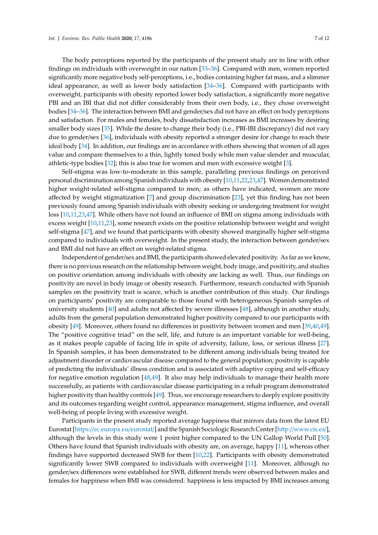The body perceptions reported by the participants of the present study are in line with other findings on individuals with overweight in our nation [\[33](#page-10-16)[–36\]](#page-10-17). Compared with men, women reported significantly more negative body self-perceptions, i.e., bodies containing higher fat mass, and a slimmer ideal appearance, as well as lower body satisfaction [\[34–](#page-10-20)[36\]](#page-10-17). Compared with participants with overweight, participants with obesity reported lower body satisfaction, a significantly more negative PBI and an IBI that did not differ considerably from their own body, i.e., they chose overweight bodies [\[34](#page-10-20)[–36\]](#page-10-17). The interaction between BMI and gender/sex did not have an effect on body perceptions and satisfaction. For males and females, body dissatisfaction increases as BMI increases by desiring smaller body sizes [\[35\]](#page-10-21). While the desire to change their body (i.e., PBI-IBI discrepancy) did not vary due to gender/sex [\[36\]](#page-10-17), individuals with obesity reported a stronger desire for change to reach their ideal body [\[34\]](#page-10-20). In addition, our findings are in accordance with others showing that women of all ages value and compare themselves to a thin, lightly toned body while men value slender and muscular, athletic-type bodies [\[32\]](#page-10-15); this is also true for women and men with excessive weight [\[3\]](#page-9-2).

Self-stigma was low-to-moderate in this sample, paralleling previous findings on perceived personal discrimination among Spanish individuals with obesity [\[10](#page-9-8)[,11,](#page-9-9)[22,](#page-10-5)[23,](#page-10-6)[47\]](#page-11-8). Women demonstrated higher weight-related self-stigma compared to men; as others have indicated, women are more affected by weight stigmatization [\[7\]](#page-9-5) and group discrimination [\[23\]](#page-10-6), yet this finding has not been previously found among Spanish individuals with obesity seeking or undergoing treatment for weight loss [\[10,](#page-9-8)[11,](#page-9-9)[23,](#page-10-6)[47\]](#page-11-8). While others have not found an influence of BMI on stigma among individuals with excess weight [\[10,](#page-9-8)[11,](#page-9-9)[23\]](#page-10-6), some research exists on the positive relationship between weight and weight self-stigma [\[47\]](#page-11-8), and we found that participants with obesity showed marginally higher self-stigma compared to individuals with overweight. In the present study, the interaction between gender/sex and BMI did not have an effect on weight-related stigma.

Independent of gender/sex and BMI, the participants showed elevated positivity. As far as we know, there is no previous research on the relationship between weight, body image, and positivity, and studies on positive orientation among individuals with obesity are lacking as well. Thus, our findings on positivity are novel in body image or obesity research. Furthermore, research conducted with Spanish samples on the positivity trait is scarce, which is another contribution of this study. Our findings on participants' positivity are comparable to those found with heterogeneous Spanish samples of university students [\[40\]](#page-11-1) and adults not affected by severe illnesses [\[48\]](#page-11-9), although in another study, adults from the general population demonstrated higher positivity compared to our participants with obesity [\[49\]](#page-11-10). Moreover, others found no differences in positivity between women and men [\[39,](#page-11-0)[40,](#page-11-1)[49\]](#page-11-10). The "positive cognitive triad" on the self, life, and future is an important variable for well-being, as it makes people capable of facing life in spite of adversity, failure, loss, or serious illness [\[27\]](#page-10-10). In Spanish samples, it has been demonstrated to be different among individuals being treated for adjustment disorder or cardiovascular disease compared to the general population; positivity is capable of predicting the individuals' illness condition and is associated with adaptive coping and self-efficacy for negative emotion regulation [\[48](#page-11-9)[,49\]](#page-11-10). It also may help individuals to manage their health more successfully, as patients with cardiovascular disease participating in a rehab program demonstrated higher positivity than healthy controls [\[49\]](#page-11-10). Thus, we encourage researchers to deeply explore positivity and its outcomes regarding weight control, appearance management, stigma influence, and overall well-being of people living with excessive weight.

Participants in the present study reported average happiness that mirrors data from the latest EU Eurostat [https://[ec.europa.eu](https://ec.europa.eu/eurostat/)/eurostat/] and the Spanish Sociologic Research Center [http://[www.cis.es](http://www.cis.es/)/], although the levels in this study were 1 point higher compared to the UN Gallop World Pull [\[50\]](#page-11-11). Others have found that Spanish individuals with obesity are, on average, happy [\[11\]](#page-9-9), whereas other findings have supported decreased SWB for them [\[10,](#page-9-8)[22\]](#page-10-5). Participants with obesity demonstrated significantly lower SWB compared to individuals with overweight [\[11\]](#page-9-9). Moreover, although no gender/sex differences were established for SWB, different trends were observed between males and females for happiness when BMI was considered: happiness is less impacted by BMI increases among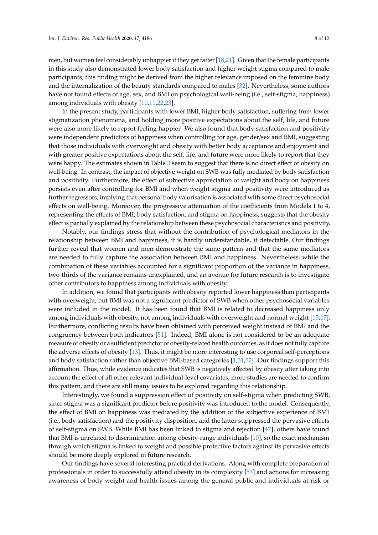men, but women feel considerably unhappier if they get fatter [\[18,](#page-10-3)[21\]](#page-10-4). Given that the female participants in this study also demonstrated lower body satisfaction and higher weight stigma compared to male participants, this finding might be derived from the higher relevance imposed on the feminine body and the internalization of the beauty standards compared to males [\[32\]](#page-10-15). Nevertheless, some authors have not found effects of age, sex, and BMI on psychological well-being (i.e., self-stigma, happiness) among individuals with obesity [\[10,](#page-9-8)[11,](#page-9-9)[22,](#page-10-5)[23\]](#page-10-6).

In the present study, participants with lower BMI, higher body satisfaction, suffering from lower stigmatization phenomena, and holding more positive expectations about the self, life, and future were also more likely to report feeling happier. We also found that body satisfaction and positivity were independent predictors of happiness when controlling for age, gender/sex and BMI, suggesting that those individuals with overweight and obesity with better body acceptance and enjoyment and with greater positive expectations about the self, life, and future were more likely to report that they were happy. The estimates shown in Table [3](#page-5-1) seem to suggest that there is no direct effect of obesity on well-being. In contrast, the impact of objective weight on SWB was fully mediated by body satisfaction and positivity. Furthermore, the effect of subjective appreciation of weight and body on happiness persists even after controlling for BMI and when weight stigma and positivity were introduced as further regressors, implying that personal body valorisation is associated with some direct psychosocial effects on well-being. Moreover, the progressive attenuation of the coefficients from Models 1 to 4, representing the effects of BMI, body satisfaction, and stigma on happiness, suggests that the obesity effect is partially explained by the relationship between these psychosocial characteristics and positivity.

Notably, our findings stress that without the contribution of psychological mediators in the relationship between BMI and happiness, it is hardly understandable, if detectable. Our findings further reveal that women and men demonstrate the same pattern and that the same mediators are needed to fully capture the association between BMI and happiness. Nevertheless, while the combination of these variables accounted for a significant proportion of the variance in happiness, two-thirds of the variance remains unexplained, and an avenue for future research is to investigate other contributors to happiness among individuals with obesity.

In addition, we found that participants with obesity reported lower happiness than participants with overweight, but BMI was not a significant predictor of SWB when other psychosocial variables were included in the model. It has been found that BMI is related to decreased happiness only among individuals with obesity, not among individuals with overweight and normal weight [\[13,](#page-9-11)[17\]](#page-10-1). Furthermore, conflicting results have been obtained with perceived weight instead of BMI and the congruency between both indicators [\[51\]](#page-11-12). Indeed, BMI alone is not considered to be an adequate measure of obesity or a sufficient predictor of obesity-related health outcomes, as it does not fully capture the adverse effects of obesity [\[13\]](#page-9-11). Thus, it might be more interesting to use corporeal self-perceptions and body satisfaction rather than objective BMI-based categories [\[1,](#page-9-0)[51,](#page-11-12)[52\]](#page-11-13). Our findings support this affirmation. Thus, while evidence indicates that SWB is negatively affected by obesity after taking into account the effect of all other relevant individual-level covariates, more studies are needed to confirm this pattern, and there are still many issues to be explored regarding this relationship.

Interestingly, we found a suppression effect of positivity on self-stigma when predicting SWB, since stigma was a significant predictor before positivity was introduced to the model. Consequently, the effect of BMI on happiness was mediated by the addition of the subjective experience of BMI (i.e., body satisfaction) and the positivity disposition, and the latter suppressed the pervasive effects of self-stigma on SWB. While BMI has been linked to stigma and rejection [\[47\]](#page-11-8), others have found that BMI is unrelated to discrimination among obesity-range individuals [\[10\]](#page-9-8), so the exact mechanism through which stigma is linked to weight and possible protective factors against its pervasive effects should be more deeply explored in future research.

Our findings have several interesting practical derivations. Along with complete preparation of professionals in order to successfully attend obesity in its complexity [\[53\]](#page-11-14) and actions for increasing awareness of body weight and health issues among the general public and individuals at risk or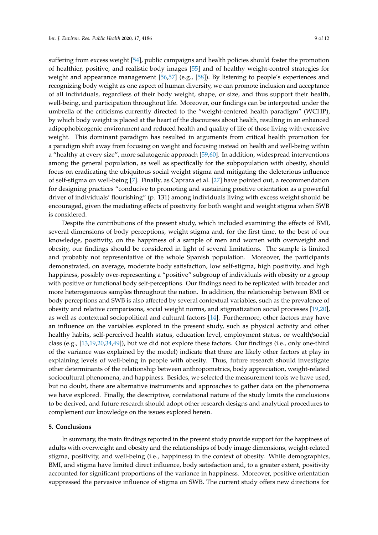suffering from excess weight [\[54\]](#page-11-15), public campaigns and health policies should foster the promotion of healthier, positive, and realistic body images [\[55\]](#page-11-16) and of healthy weight-control strategies for weight and appearance management [\[56,](#page-11-17)[57\]](#page-11-18) (e.g., [\[58\]](#page-11-19)). By listening to people's experiences and recognizing body weight as one aspect of human diversity, we can promote inclusion and acceptance of all individuals, regardless of their body weight, shape, or size, and thus support their health, well-being, and participation throughout life. Moreover, our findings can be interpreted under the umbrella of the criticisms currently directed to the "weight-centered health paradigm" (WCHP), by which body weight is placed at the heart of the discourses about health, resulting in an enhanced adipophobicogenic environment and reduced health and quality of life of those living with excessive weight. This dominant paradigm has resulted in arguments from critical health promotion for a paradigm shift away from focusing on weight and focusing instead on health and well-being within a "healthy at every size", more salutogenic approach [\[59,](#page-11-20)[60\]](#page-11-21). In addition, widespread interventions among the general population, as well as specifically for the subpopulation with obesity, should focus on eradicating the ubiquitous social weight stigma and mitigating the deleterious influence of self-stigma on well-being [\[7\]](#page-9-5). Finally, as Caprara et al. [\[27\]](#page-10-10) have pointed out, a recommendation for designing practices "conducive to promoting and sustaining positive orientation as a powerful driver of individuals' flourishing" (p. 131) among individuals living with excess weight should be encouraged, given the mediating effects of positivity for both weight and weight stigma when SWB is considered.

Despite the contributions of the present study, which included examining the effects of BMI, several dimensions of body perceptions, weight stigma and, for the first time, to the best of our knowledge, positivity, on the happiness of a sample of men and women with overweight and obesity, our findings should be considered in light of several limitations. The sample is limited and probably not representative of the whole Spanish population. Moreover, the participants demonstrated, on average, moderate body satisfaction, low self-stigma, high positivity, and high happiness, possibly over-representing a "positive" subgroup of individuals with obesity or a group with positive or functional body self-perceptions. Our findings need to be replicated with broader and more heterogeneous samples throughout the nation. In addition, the relationship between BMI or body perceptions and SWB is also affected by several contextual variables, such as the prevalence of obesity and relative comparisons, social weight norms, and stigmatization social processes [\[19,](#page-10-2)[20\]](#page-10-22), as well as contextual sociopolitical and cultural factors [\[14\]](#page-9-12). Furthermore, other factors may have an influence on the variables explored in the present study, such as physical activity and other healthy habits, self-perceived health status, education level, employment status, or wealth/social class (e.g., [\[13](#page-9-11)[,19](#page-10-2)[,20](#page-10-22)[,34](#page-10-20)[,49\]](#page-11-10)), but we did not explore these factors. Our findings (i.e., only one-third of the variance was explained by the model) indicate that there are likely other factors at play in explaining levels of well-being in people with obesity. Thus, future research should investigate other determinants of the relationship between anthropometrics, body appreciation, weight-related sociocultural phenomena, and happiness. Besides, we selected the measurement tools we have used, but no doubt, there are alternative instruments and approaches to gather data on the phenomena we have explored. Finally, the descriptive, correlational nature of the study limits the conclusions to be derived, and future research should adopt other research designs and analytical procedures to complement our knowledge on the issues explored herein.

#### **5. Conclusions**

In summary, the main findings reported in the present study provide support for the happiness of adults with overweight and obesity and the relationships of body image dimensions, weight-related stigma, positivity, and well-being (i.e., happiness) in the context of obesity. While demographics, BMI, and stigma have limited direct influence, body satisfaction and, to a greater extent, positivity accounted for significant proportions of the variance in happiness. Moreover, positive orientation suppressed the pervasive influence of stigma on SWB. The current study offers new directions for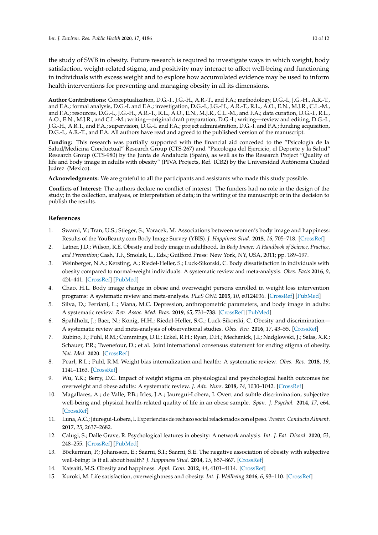the study of SWB in obesity. Future research is required to investigate ways in which weight, body satisfaction, weight-related stigma, and positivity may interact to affect well-being and functioning in individuals with excess weight and to explore how accumulated evidence may be used to inform health interventions for preventing and managing obesity in all its dimensions.

**Author Contributions:** Conceptualization, D.G.-I., J.G.-H., A.R.-T., and F.A.; methodology, D.G.-I., J.G.-H., A.R.-T., and F.A.; formal analysis, D.G.-I. and F.A.; investigation, D.G.-I., J.G.-H., A.R.-T., R.L., A.O., E.N., M.J.R., C.L.-M., and F.A.; resources, D.G.-I., J.G.-H., A.R.-T., R.L., A.O., E.N., M.J.R., C.L.-M., and F.A.; data curation, D.G.-I., R.L., A.O., E.N., M.J.R., and C.L.-M.; writing—original draft preparation, D.G.-I.; writing—review and editing, D.G.-I., J.G.-H., A.R.T., and F.A.; supervision, D.G.-I. and F.A.; project administration, D.G.-I. and F.A.; funding acquisition, D.G.-I., A.R.-T., and F.A. All authors have read and agreed to the published version of the manuscript.

**Funding:** This research was partially supported with the financial aid conceded to the "Psicología de la Salud/Medicina Conductual" Research Group (CTS-267) and "Psicología del Ejercicio, el Deporte y la Salud" Research Group (CTS-980) by the Junta de Andalucía (Spain), as well as to the Research Project "Quality of life and body image in adults with obesity" (PIVA Projects, Ref. ICB2) by the Universidad Autónoma Ciudad Juárez (Mexico).

**Acknowledgments:** We are grateful to all the participants and assistants who made this study possible.

**Conflicts of Interest:** The authors declare no conflict of interest. The funders had no role in the design of the study; in the collection, analyses, or interpretation of data; in the writing of the manuscript; or in the decision to publish the results.

## **References**

- <span id="page-9-0"></span>1. Swami, V.; Tran, U.S.; Stieger, S.; Voracek, M. Associations between women's body image and happiness: Results of the YouBeauty.com Body Image Survey (YBIS). *J. Happiness Stud.* **2015**, *16*, 705–718. [\[CrossRef\]](http://dx.doi.org/10.1007/s10902-014-9530-7)
- <span id="page-9-1"></span>2. Latner, J.D.; Wilson, R.E. Obesity and body image in adulthood. In *Body Image: A Handbook of Science, Practice, and Prevention*; Cash, T.F., Smolak, L., Eds.; Guilford Press: New York, NY, USA, 2011; pp. 189–197.
- <span id="page-9-2"></span>3. Weinberger, N.A.; Kersting, A.; Riedel-Heller, S.; Luck-Sikorski, C. Body dissatisfaction in individuals with obesity compared to normal-weight individuals: A systematic review and meta-analysis. *Obes. Facts* **2016**, *9*, 424–441. [\[CrossRef\]](http://dx.doi.org/10.1159/000454837) [\[PubMed\]](http://www.ncbi.nlm.nih.gov/pubmed/28013298)
- 4. Chao, H.L. Body image change in obese and overweight persons enrolled in weight loss intervention programs: A systematic review and meta-analysis. *PLoS ONE* **2015**, *10*, e0124036. [\[CrossRef\]](http://dx.doi.org/10.1371/journal.pone.0124036) [\[PubMed\]](http://www.ncbi.nlm.nih.gov/pubmed/25946138)
- <span id="page-9-3"></span>5. Silva, D.; Ferriani, L.; Viana, M.C. Depression, anthropometric parameters, and body image in adults: A systematic review. *Rev. Assoc. Med. Bras.* **2019**, *65*, 731–738. [\[CrossRef\]](http://dx.doi.org/10.1590/1806-9282.65.5.731) [\[PubMed\]](http://www.ncbi.nlm.nih.gov/pubmed/31166453)
- <span id="page-9-4"></span>6. Spahlholz, J.; Baer, N.; König, H.H.; Riedel-Heller, S.G.; Luck-Sikorski, C. Obesity and discrimination— A systematic review and meta-analysis of observational studies. *Obes. Rev.* **2016**, *17*, 43–55. [\[CrossRef\]](http://dx.doi.org/10.1111/obr.12343)
- <span id="page-9-5"></span>7. Rubino, F.; Puhl, R.M.; Cummings, D.E.; Eckel, R.H.; Ryan, D.H.; Mechanick, J.I.; Nadglowski, J.; Salas, X.R.; Schauer, P.R.; Twenefour, D.; et al. Joint international consensus statement for ending stigma of obesity. *Nat. Med.* **2020**. [\[CrossRef\]](http://dx.doi.org/10.1038/s41591-020-0803-x)
- <span id="page-9-6"></span>8. Pearl, R.L.; Puhl, R.M. Weight bias internalization and health: A systematic review. *Obes. Rev.* **2018**, *19*, 1141–1163. [\[CrossRef\]](http://dx.doi.org/10.1111/obr.12701)
- <span id="page-9-7"></span>9. Wu, Y.K.; Berry, D.C. Impact of weight stigma on physiological and psychological health outcomes for overweight and obese adults: A systematic review. *J. Adv. Nurs.* **2018**, *74*, 1030–1042. [\[CrossRef\]](http://dx.doi.org/10.1111/jan.13511)
- <span id="page-9-8"></span>10. Magallares, A.; de Valle, P.B.; Irles, J.A.; Jauregui-Lobera, I. Overt and subtle discrimination, subjective well-being and physical health-related quality of life in an obese sample. *Span. J. Psychol.* **2014**, *17*, e64. [\[CrossRef\]](http://dx.doi.org/10.1017/sjp.2014.64)
- <span id="page-9-9"></span>11. Luna, A.C.; Jáuregui-Lobera, I.Experiencias de rechazo social relacionados con el peso.*Trastor. Conducta Aliment.* **2017**, *25*, 2637–2682.
- <span id="page-9-10"></span>12. Calugi, S.; Dalle Grave, R. Psychological features in obesity: A network analysis. *Int. J. Eat. Disord.* **2020**, *53*, 248–255. [\[CrossRef\]](http://dx.doi.org/10.1002/eat.23190) [\[PubMed\]](http://www.ncbi.nlm.nih.gov/pubmed/31657026)
- <span id="page-9-11"></span>13. Böckerman, P.; Johansson, E.; Saarni, S.I.; Saarni, S.E. The negative association of obesity with subjective well-being: Is it all about health? *J. Happiness Stud.* **2014**, *15*, 857–867. [\[CrossRef\]](http://dx.doi.org/10.1007/s10902-013-9453-8)
- <span id="page-9-12"></span>14. Katsaiti, M.S. Obesity and happiness. *Appl. Econ.* **2012**, *44*, 4101–4114. [\[CrossRef\]](http://dx.doi.org/10.1080/00036846.2011.587779)
- 15. Kuroki, M. Life satisfaction, overweightness and obesity. *Int. J. Wellbeing* **2016**, *6*, 93–110. [\[CrossRef\]](http://dx.doi.org/10.5502/ijw.v6i2.519)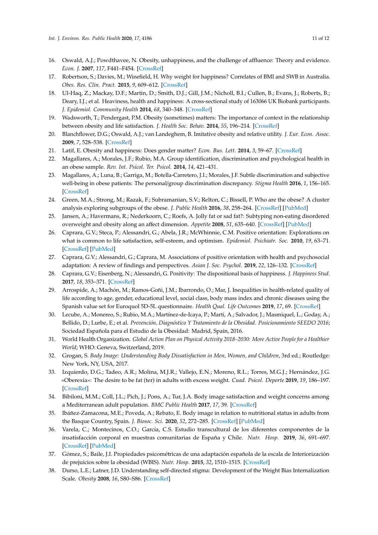- <span id="page-10-0"></span>16. Oswald, A.J.; Powdthavee, N. Obesity, unhappiness, and the challenge of affluence: Theory and evidence. *Econ. J.* **2007**, *117*, F441–F454. [\[CrossRef\]](http://dx.doi.org/10.1111/j.1468-0297.2007.02077_1.x)
- <span id="page-10-1"></span>17. Robertson, S.; Davies, M.; Winefield, H. Why weight for happiness? Correlates of BMI and SWB in Australia. *Obes. Res. Clin. Pract.* **2015**, *9*, 609–612. [\[CrossRef\]](http://dx.doi.org/10.1016/j.orcp.2015.04.011)
- <span id="page-10-3"></span>18. Ul-Haq, Z.; Mackay, D.F.; Martin, D.; Smith, D.J.; Gill, J.M.; Nicholl, B.I.; Cullen, B.; Evans, J.; Roberts, B.; Deary, I.J.; et al. Heaviness, health and happiness: A cross-sectional study of 163066 UK Biobank participants. *J. Epidemiol. Community Health* **2014**, *68*, 340–348. [\[CrossRef\]](http://dx.doi.org/10.1136/jech-2013-203077)
- <span id="page-10-2"></span>19. Wadsworth, T.; Pendergast, P.M. Obesity (sometimes) matters: The importance of context in the relationship between obesity and life satisfaction. *J. Health Soc. Behav.* **2014**, *55*, 196–214. [\[CrossRef\]](http://dx.doi.org/10.1177/0022146514533347)
- <span id="page-10-22"></span>20. Blanchflower, D.G.; Oswald, A.J.; van Landeghem, B. Imitative obesity and relative utility. *J. Eur. Econ. Assoc.* **2009**, *7*, 528–538. [\[CrossRef\]](http://dx.doi.org/10.1162/JEEA.2009.7.2-3.528)
- <span id="page-10-4"></span>21. Latif, E. Obesity and happiness: Does gender matter? *Econ. Bus. Lett.* **2014**, *3*, 59–67. [\[CrossRef\]](http://dx.doi.org/10.17811/ebl.3.1.2014.59-67)
- <span id="page-10-5"></span>22. Magallares, A.; Morales, J.F.; Rubio, M.A. Group identification, discrimination and psychological health in an obese sample. *Rev. Int. Psicol. Ter. Psicol.* **2014**, *14*, 421–431.
- <span id="page-10-6"></span>23. Magallares, A.; Luna, B.; Garriga, M.; Botella-Carretero, J.I.; Morales, J.F. Subtle discrimination and subjective well-being in obese patients: The personal/group discrimination discrepancy. *Stigma Health* **2016**, *1*, 156–165. [\[CrossRef\]](http://dx.doi.org/10.1037/sah0000021)
- <span id="page-10-7"></span>24. Green, M.A.; Strong, M.; Razak, F.; Subramanian, S.V.; Relton, C.; Bissell, P. Who are the obese? A cluster analysis exploring subgroups of the obese. *J. Public Health* **2016**, *38*, 258–264. [\[CrossRef\]](http://dx.doi.org/10.1093/pubmed/fdv040) [\[PubMed\]](http://www.ncbi.nlm.nih.gov/pubmed/25889387)
- <span id="page-10-8"></span>25. Jansen, A.; Havermans, R.; Nederkoorn, C.; Roefs, A. Jolly fat or sad fat?: Subtyping non-eating disordered overweight and obesity along an affect dimension. *Appetite* **2008**, *51*, 635–640. [\[CrossRef\]](http://dx.doi.org/10.1016/j.appet.2008.05.055) [\[PubMed\]](http://www.ncbi.nlm.nih.gov/pubmed/18597892)
- <span id="page-10-9"></span>26. Caprara, G.V.; Steca, P.; Alessandri, G.; Abela, J.R.; McWhinnie, C.M. Positive orientation: Explorations on what is common to life satisfaction, self-esteem, and optimism. *Epidemiol. Psichiatr. Soc.* **2010**, *19*, 63–71. [\[CrossRef\]](http://dx.doi.org/10.1017/S1121189X00001615) [\[PubMed\]](http://www.ncbi.nlm.nih.gov/pubmed/20486425)
- <span id="page-10-10"></span>27. Caprara, G.V.; Alessandri, G.; Caprara, M. Associations of positive orientation with health and psychosocial adaptation: A review of findings and perspectives. *Asian J. Soc. Psychol.* **2019**, *22*, 126–132. [\[CrossRef\]](http://dx.doi.org/10.1111/ajsp.12325)
- <span id="page-10-11"></span>28. Caprara, G.V.; Eisenberg, N.; Alessandri, G. Positivity: The dispositional basis of happiness. *J. Happiness Stud.* **2017**, *18*, 353–371. [\[CrossRef\]](http://dx.doi.org/10.1007/s10902-016-9728-y)
- <span id="page-10-12"></span>29. Arrospide, A.; Machón, M.; Ramos-Goñi, J.M.; Ibarrondo, O.; Mar, J. Inequalities in health-related quality of life according to age, gender, educational level, social class, body mass index and chronic diseases using the Spanish value set for Euroquol 5D-5L questionnaire. *Health Qual. Life Outcomes* **2019**, *17*, 69. [\[CrossRef\]](http://dx.doi.org/10.1186/s12955-019-1134-9)
- <span id="page-10-13"></span>30. Lecube, A.; Monereo, S.; Rubio, M.A.; Martínez-de-Icaya, P.; Marti, A.; Salvador, J.; Masmiquel, L.; Goday, A.; Bellido, D.; Lurbe, E.; et al. *Prevención, Diagnóstico Y Tratamiento de la Obesidad. Posicionamiento SEEDO 2016*; Sociedad Española para el Estudio de la Obesidad: Madrid, Spain, 2016.
- <span id="page-10-14"></span>31. World Health Organization. *Global Action Plan on Physical Activity 2018–2030: More Active People for a Healthier World*; WHO: Geneva, Switzerland, 2019.
- <span id="page-10-15"></span>32. Grogan, S. *Body Image: Understanding Body Dissatisfaction in Men, Women, and Children*, 3rd ed.; Routledge: New York, NY, USA, 2017.
- <span id="page-10-16"></span>33. Izquierdo, D.G.; Tadeo, A.R.; Molina, M.J.R.; Vallejo, E.N.; Moreno, R.L.; Torres, M.G.J.; Hernández, J.G. «Oberexia»: The desire to be fat (ter) in adults with excess weight. *Cuad. Psicol. Deporte* **2019**, *19*, 186–197. [\[CrossRef\]](http://dx.doi.org/10.6018/cpd.371781)
- <span id="page-10-20"></span>34. Bibiloni, M.M.; Coll, J.L.; Pich, J.; Pons, A.; Tur, J.A. Body image satisfaction and weight concerns among a Mediterranean adult population. *BMC Public Health* **2017**, *17*, 39. [\[CrossRef\]](http://dx.doi.org/10.1186/s12889-016-3919-7)
- <span id="page-10-21"></span>35. Ibáñez-Zamacona, M.E.; Poveda, A.; Rebato, E. Body image in relation to nutritional status in adults from the Basque Country, Spain. *J. Biosoc. Sci.* **2020**, *52*, 272–285. [\[CrossRef\]](http://dx.doi.org/10.1017/S0021932019000439) [\[PubMed\]](http://www.ncbi.nlm.nih.gov/pubmed/31339090)
- <span id="page-10-17"></span>36. Varela, C.; Montecinos, C.O.; García, C.S. Estudio transcultural de los diferentes componentes de la insatisfacción corporal en muestras comunitarias de España y Chile. *Nutr. Hosp.* **2019**, *36*, 691–697. [\[CrossRef\]](http://dx.doi.org/10.20960/nh.02212) [\[PubMed\]](http://www.ncbi.nlm.nih.gov/pubmed/31144974)
- <span id="page-10-18"></span>37. Gómez, S.; Baile, J.I. Propiedades psicométricas de una adaptación española de la escala de Interiorización de prejuicios sobre la obesidad (WBIS). *Nutr. Hosp.* **2015**, *32*, 1510–1515. [\[CrossRef\]](http://dx.doi.org/10.3305/nh.2015.32.4.9343)
- <span id="page-10-19"></span>38. Durso, L.E.; Latner, J.D. Understanding self-directed stigma: Development of the Weight Bias Internalization Scale. *Obesity* **2008**, *16*, S80–S86. [\[CrossRef\]](http://dx.doi.org/10.1038/oby.2008.448)